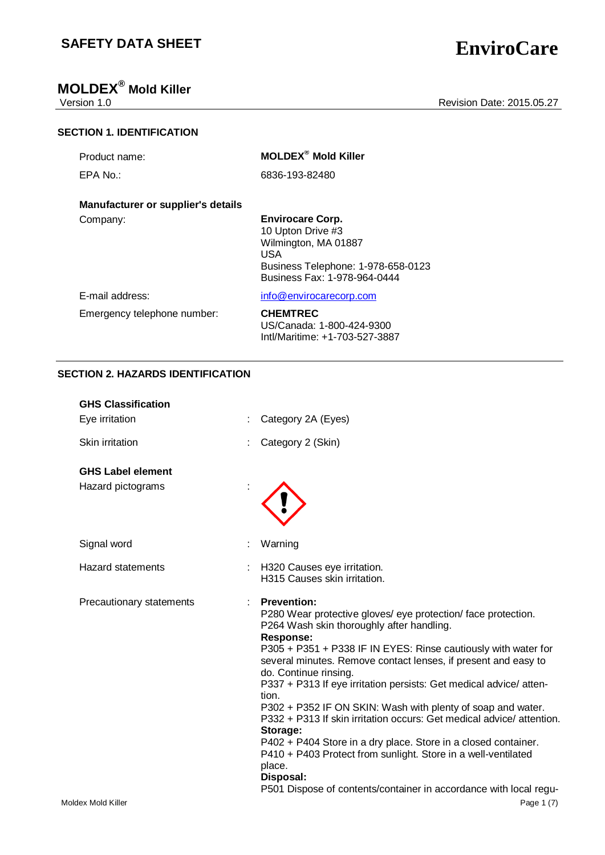## **MOLDEX® Mold Killer**

## Version 1.0 **New Search 2015.05.27** Revision Date: 2015.05.27

|  | <b>SECTION 1. IDENTIFICATION</b> |  |
|--|----------------------------------|--|
|  |                                  |  |

|  | Product name: |  |  |
|--|---------------|--|--|
|--|---------------|--|--|

EPA No.: 6836-193-82480

 $MOLDEX<sup>®</sup>$  Mold Killer

## **Manufacturer or supplier's details**

## Company: **Envirocare Corp.** 10 Upton Drive #3 Wilmington, MA 01887 USA Business Telephone: 1-978-658-0123 Business Fax: 1-978-964-0444

E-mail address: [info@envirocarecorp.com](mailto:info@envirocarecorp.com)

Emergency telephone number: **CHEMTREC** US/Canada: 1-800-424-9300 Intl/Maritime: +1-703-527-3887

## **SECTION 2. HAZARDS IDENTIFICATION**

| <b>GHS Classification</b> |                                                                                                                                                                                                                                                                                                                                                                                                                                                                                                                                                                                                                                                                                                                                                                                   |
|---------------------------|-----------------------------------------------------------------------------------------------------------------------------------------------------------------------------------------------------------------------------------------------------------------------------------------------------------------------------------------------------------------------------------------------------------------------------------------------------------------------------------------------------------------------------------------------------------------------------------------------------------------------------------------------------------------------------------------------------------------------------------------------------------------------------------|
| Eye irritation            | Category 2A (Eyes)                                                                                                                                                                                                                                                                                                                                                                                                                                                                                                                                                                                                                                                                                                                                                                |
| Skin irritation           | Category 2 (Skin)                                                                                                                                                                                                                                                                                                                                                                                                                                                                                                                                                                                                                                                                                                                                                                 |
| <b>GHS Label element</b>  |                                                                                                                                                                                                                                                                                                                                                                                                                                                                                                                                                                                                                                                                                                                                                                                   |
| Hazard pictograms         |                                                                                                                                                                                                                                                                                                                                                                                                                                                                                                                                                                                                                                                                                                                                                                                   |
| Signal word               | Warning                                                                                                                                                                                                                                                                                                                                                                                                                                                                                                                                                                                                                                                                                                                                                                           |
| <b>Hazard statements</b>  | H320 Causes eye irritation.<br>H315 Causes skin irritation.                                                                                                                                                                                                                                                                                                                                                                                                                                                                                                                                                                                                                                                                                                                       |
| Precautionary statements  | <b>Prevention:</b><br>P280 Wear protective gloves/ eye protection/ face protection.<br>P264 Wash skin thoroughly after handling.<br><b>Response:</b><br>P305 + P351 + P338 IF IN EYES: Rinse cautiously with water for<br>several minutes. Remove contact lenses, if present and easy to<br>do. Continue rinsing.<br>P337 + P313 If eye irritation persists: Get medical advice/atten-<br>tion.<br>P302 + P352 IF ON SKIN: Wash with plenty of soap and water.<br>P332 + P313 If skin irritation occurs: Get medical advice/attention.<br>Storage:<br>P402 + P404 Store in a dry place. Store in a closed container.<br>P410 + P403 Protect from sunlight. Store in a well-ventilated<br>place.<br>Disposal:<br>P501 Dispose of contents/container in accordance with local regu- |
| Moldex Mold Killer        | Page 1 (7)                                                                                                                                                                                                                                                                                                                                                                                                                                                                                                                                                                                                                                                                                                                                                                        |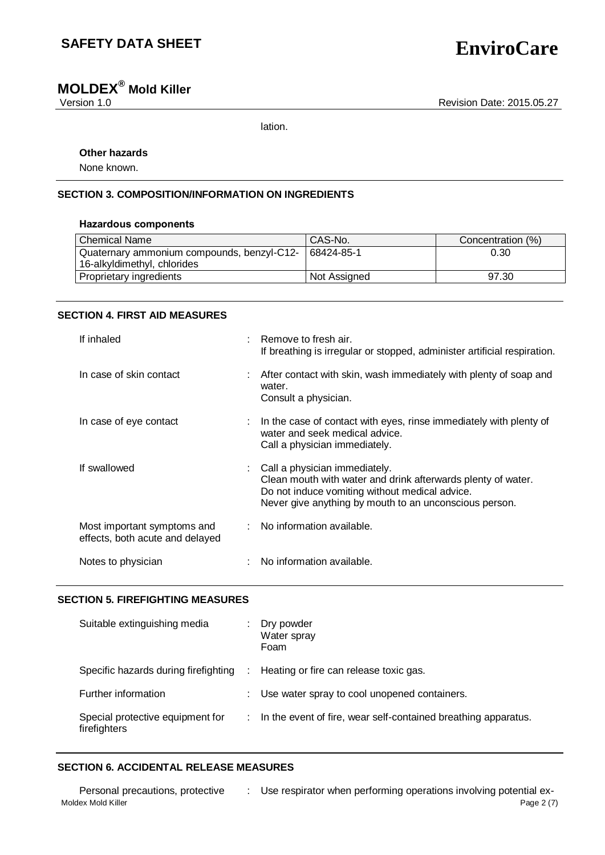# **MOLDEX® Mold Killer**

Version 1.0 **New Search 2015.05.27** Revision Date: 2015.05.27

lation.

## **Other hazards**

None known.

## **SECTION 3. COMPOSITION/INFORMATION ON INGREDIENTS**

## **Hazardous components**

| <b>Chemical Name</b>                       | CAS-No.      | Concentration (%) |
|--------------------------------------------|--------------|-------------------|
| Quaternary ammonium compounds, benzyl-C12- | 68424-85-1   | 0.30              |
| 16-alkyldimethyl, chlorides                |              |                   |
| Proprietary ingredients                    | Not Assigned | 97.30             |

## **SECTION 4. FIRST AID MEASURES**

| If inhaled                                                     | Remove to fresh air.<br>If breathing is irregular or stopped, administer artificial respiration.                                                                                                          |
|----------------------------------------------------------------|-----------------------------------------------------------------------------------------------------------------------------------------------------------------------------------------------------------|
| In case of skin contact                                        | : After contact with skin, wash immediately with plenty of soap and<br>water.<br>Consult a physician.                                                                                                     |
| In case of eye contact                                         | In the case of contact with eyes, rinse immediately with plenty of<br>water and seek medical advice.<br>Call a physician immediately.                                                                     |
| If swallowed                                                   | Call a physician immediately.<br>Clean mouth with water and drink afterwards plenty of water.<br>Do not induce vomiting without medical advice.<br>Never give anything by mouth to an unconscious person. |
| Most important symptoms and<br>effects, both acute and delayed | : No information available.                                                                                                                                                                               |
| Notes to physician                                             | No information available.                                                                                                                                                                                 |

## **SECTION 5. FIREFIGHTING MEASURES**

| Suitable extinguishing media                     |            | Dry powder<br>Water spray<br>Foam                              |
|--------------------------------------------------|------------|----------------------------------------------------------------|
| Specific hazards during firefighting             | $\sim 100$ | Heating or fire can release toxic gas.                         |
| Further information                              |            | Use water spray to cool unopened containers.                   |
| Special protective equipment for<br>firefighters | ÷.         | In the event of fire, wear self-contained breathing apparatus. |

## **SECTION 6. ACCIDENTAL RELEASE MEASURES**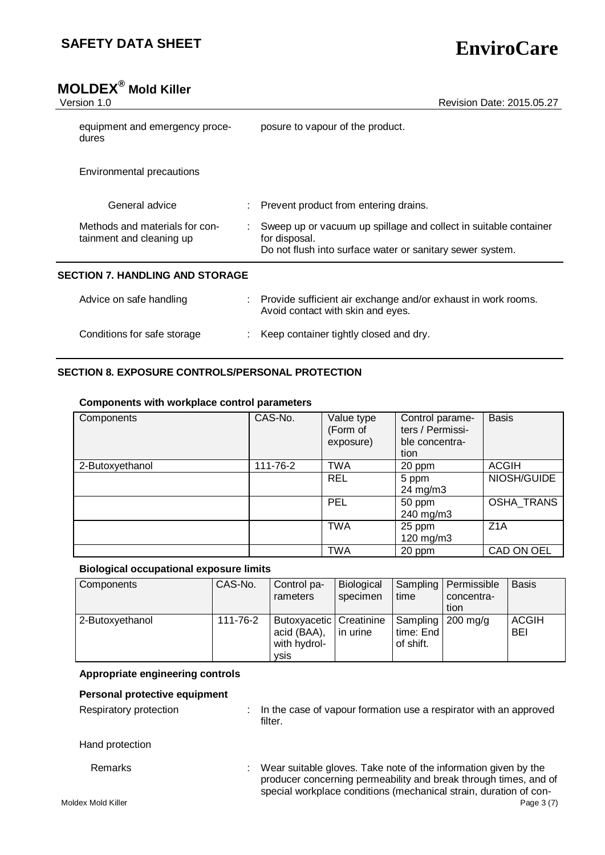| <b>MOLDEX<sup>®</sup> Mold Killer</b><br>Version 1.0       | Revision Date: 2015.05.27                                                                                                                      |
|------------------------------------------------------------|------------------------------------------------------------------------------------------------------------------------------------------------|
|                                                            |                                                                                                                                                |
| equipment and emergency proce-<br>dures                    | posure to vapour of the product.                                                                                                               |
| Environmental precautions                                  |                                                                                                                                                |
| General advice                                             | Prevent product from entering drains.                                                                                                          |
| Methods and materials for con-<br>tainment and cleaning up | Sweep up or vacuum up spillage and collect in suitable container<br>for disposal.<br>Do not flush into surface water or sanitary sewer system. |
| <b>SECTION 7. HANDLING AND STORAGE</b>                     |                                                                                                                                                |
| Advice on safe handling                                    | Provide sufficient air exchange and/or exhaust in work rooms.<br>Avoid contact with skin and eyes.                                             |
| Conditions for safe storage                                | Keep container tightly closed and dry.                                                                                                         |

## **SECTION 8. EXPOSURE CONTROLS/PERSONAL PROTECTION**

### **Components with workplace control parameters**

| Components      | CAS-No.  | Value type<br>(Form of<br>exposure) | Control parame-<br>ters / Permissi-<br>ble concentra-<br>tion | <b>Basis</b>      |
|-----------------|----------|-------------------------------------|---------------------------------------------------------------|-------------------|
| 2-Butoxyethanol | 111-76-2 | <b>TWA</b>                          | 20 ppm                                                        | <b>ACGIH</b>      |
|                 |          | <b>REL</b>                          | 5 ppm<br>$24 \text{ mg/m}$ 3                                  | NIOSH/GUIDE       |
|                 |          | PEL                                 | 50 ppm<br>240 mg/m3                                           | <b>OSHA TRANS</b> |
|                 |          | <b>TWA</b>                          | 25 ppm<br>120 mg/m3                                           | Z1A               |
|                 |          | <b>TWA</b>                          | 20 ppm                                                        | CAD ON OEL        |

## **Biological occupational exposure limits**

| <b>Components</b> | CAS-No.  | Control pa-<br>rameters                                                 | Biological<br>specimen | time                                          | Sampling   Permissible<br>concentra-<br>tion | <b>Basis</b>               |
|-------------------|----------|-------------------------------------------------------------------------|------------------------|-----------------------------------------------|----------------------------------------------|----------------------------|
| 2-Butoxyethanol   | 111-76-2 | Butoxyacetic   Creatinine<br>acid (BAA),<br>with hydrol-<br><b>VSIS</b> | in urine               | Sampling   200 mg/g<br>time: End<br>of shift. |                                              | <b>ACGIH</b><br><b>BEI</b> |

## **Appropriate engineering controls**

## **Personal protective equipment**

Respiratory protection : In the case of vapour formation use a respirator with an approved filter.

Hand protection

Remarks : Wear suitable gloves. Take note of the information given by the producer concerning permeability and break through times, and of special workplace conditions (mechanical strain, duration of con-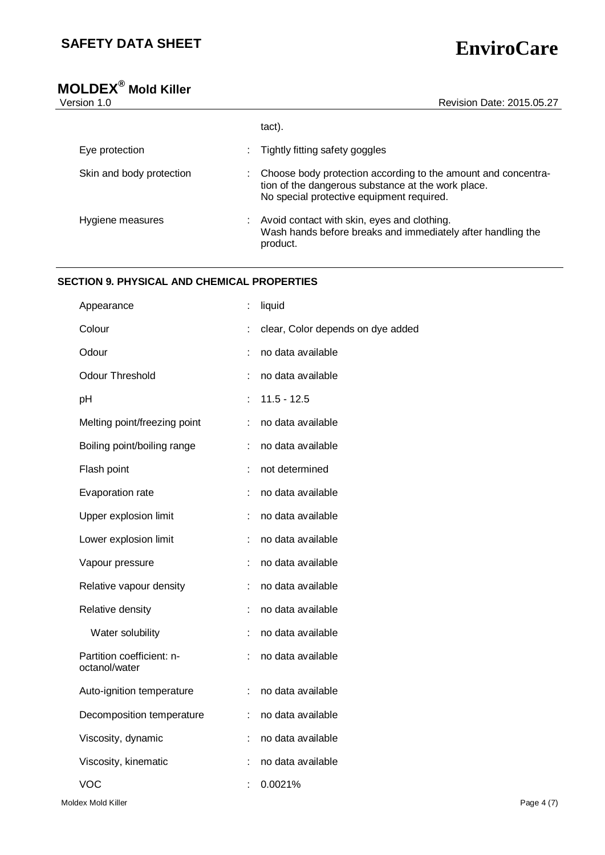# **MOLDEX® Mold Killer**

| sion 1.0                 | Revision Date: 2015.05.27                                                                                                                                        |
|--------------------------|------------------------------------------------------------------------------------------------------------------------------------------------------------------|
|                          | tact).                                                                                                                                                           |
| Eye protection           | Tightly fitting safety goggles                                                                                                                                   |
| Skin and body protection | Choose body protection according to the amount and concentra-<br>tion of the dangerous substance at the work place.<br>No special protective equipment required. |
| Hygiene measures         | Avoid contact with skin, eyes and clothing.<br>Wash hands before breaks and immediately after handling the<br>product.                                           |

## **SECTION 9. PHYSICAL AND CHEMICAL PROPERTIES**

| Appearance                                 |                | liquid                            |
|--------------------------------------------|----------------|-----------------------------------|
| Colour                                     | $\ddot{\cdot}$ | clear, Color depends on dye added |
| Odour                                      | ÷              | no data available                 |
| <b>Odour Threshold</b>                     | $\ddot{\cdot}$ | no data available                 |
| pH                                         | t              | $11.5 - 12.5$                     |
| Melting point/freezing point               | t              | no data available                 |
| Boiling point/boiling range                | t              | no data available                 |
| Flash point                                | t              | not determined                    |
| Evaporation rate                           | t              | no data available                 |
| Upper explosion limit                      | t              | no data available                 |
| Lower explosion limit                      | ÷              | no data available                 |
| Vapour pressure                            | ÷              | no data available                 |
| Relative vapour density                    | ÷              | no data available                 |
| Relative density                           | ÷              | no data available                 |
| Water solubility                           |                | no data available                 |
| Partition coefficient: n-<br>octanol/water |                | no data available                 |
| Auto-ignition temperature                  | ÷              | no data available                 |
| Decomposition temperature                  | ÷              | no data available                 |
| Viscosity, dynamic                         | ÷              | no data available                 |
| Viscosity, kinematic                       | t              | no data available                 |
| <b>VOC</b>                                 |                | 0.0021%                           |
|                                            |                |                                   |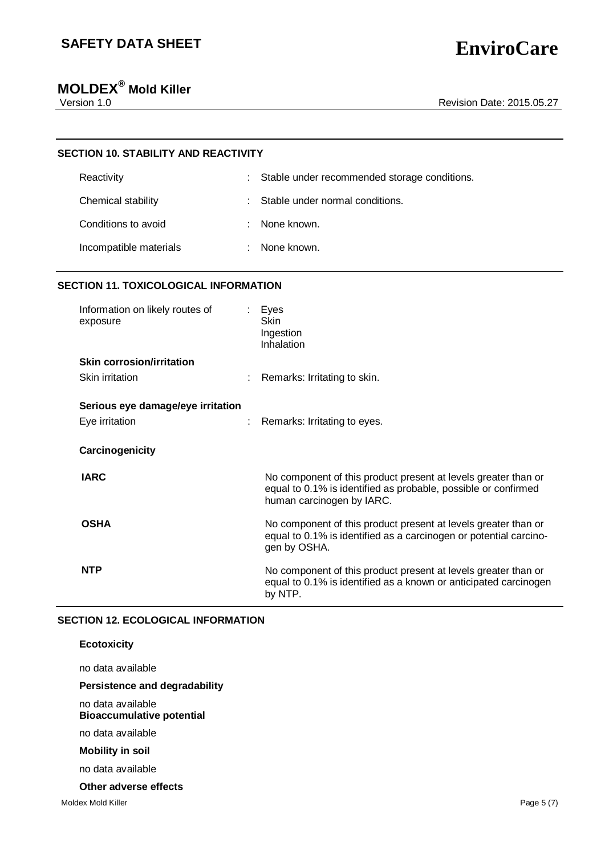# **MOLDEX® Mold Killer**

# **SECTION 10. STABILITY AND REACTIVITY** Reactivity **Example 20** CHS Stable under recommended storage conditions. Chemical stability  $\qquad \qquad : \qquad$  Stable under normal conditions. Conditions to avoid **:** None known. Incompatible materials : None known.

## **SECTION 11. TOXICOLOGICAL INFORMATION**

| Information on likely routes of<br>exposure         | Eyes<br>Skin<br>Ingestion<br>Inhalation                                                                                                                       |
|-----------------------------------------------------|---------------------------------------------------------------------------------------------------------------------------------------------------------------|
| <b>Skin corrosion/irritation</b>                    |                                                                                                                                                               |
| <b>Skin irritation</b>                              | Remarks: Irritating to skin.                                                                                                                                  |
| Serious eye damage/eye irritation<br>Eye irritation | Remarks: Irritating to eyes.                                                                                                                                  |
| Carcinogenicity                                     |                                                                                                                                                               |
| <b>IARC</b>                                         | No component of this product present at levels greater than or<br>equal to 0.1% is identified as probable, possible or confirmed<br>human carcinogen by IARC. |
| <b>OSHA</b>                                         | No component of this product present at levels greater than or<br>equal to 0.1% is identified as a carcinogen or potential carcino-<br>gen by OSHA.           |
| <b>NTP</b>                                          | No component of this product present at levels greater than or<br>equal to 0.1% is identified as a known or anticipated carcinogen<br>by NTP.                 |

## **SECTION 12. ECOLOGICAL INFORMATION**

### no data available **Bioaccumulative potential**

no data available

## **Mobility in soil**

no data available

## **Other adverse effects**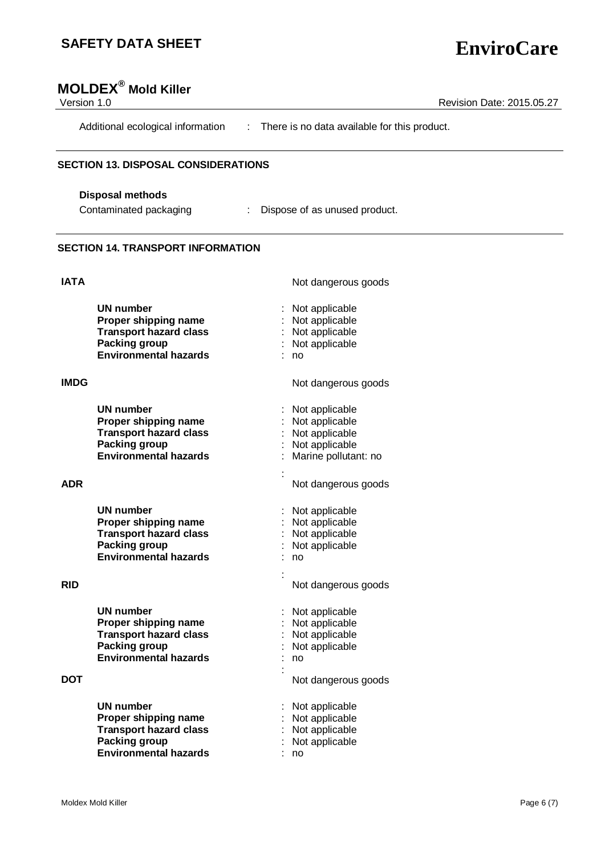| Version 1.0 | <b>MOLDEX<sup>®</sup> Mold Killer</b>                 | Revision Date: 2015.05.27                      |
|-------------|-------------------------------------------------------|------------------------------------------------|
|             | Additional ecological information                     | : There is no data available for this product. |
|             | <b>SECTION 13. DISPOSAL CONSIDERATIONS</b>            |                                                |
|             | <b>Disposal methods</b>                               |                                                |
|             | Contaminated packaging                                | : Dispose of as unused product.                |
|             | <b>SECTION 14. TRANSPORT INFORMATION</b>              |                                                |
| <b>IATA</b> |                                                       | Not dangerous goods                            |
|             | <b>UN number</b>                                      | Not applicable                                 |
|             | Proper shipping name                                  | Not applicable                                 |
|             | <b>Transport hazard class</b><br><b>Packing group</b> | Not applicable<br>Not applicable               |
|             | <b>Environmental hazards</b>                          | no                                             |
| <b>IMDG</b> |                                                       | Not dangerous goods                            |
|             | <b>UN number</b>                                      | Not applicable                                 |
|             | Proper shipping name                                  | Not applicable                                 |
|             | <b>Transport hazard class</b>                         | Not applicable                                 |
|             | <b>Packing group</b><br><b>Environmental hazards</b>  | Not applicable<br>Marine pollutant: no         |
|             |                                                       |                                                |
| <b>ADR</b>  |                                                       | Not dangerous goods                            |
|             | UN number                                             | Not applicable                                 |
|             | Proper shipping name                                  | Not applicable                                 |
|             | <b>Transport hazard class</b>                         | Not applicable                                 |
|             | Packing group<br><b>Environmental hazards</b>         | Not applicable<br>no                           |
|             |                                                       |                                                |
| <b>RID</b>  |                                                       | Not dangerous goods                            |
|             | <b>UN number</b>                                      | Not applicable                                 |
|             | Proper shipping name                                  | Not applicable                                 |
|             | <b>Transport hazard class</b>                         | Not applicable                                 |
|             | <b>Packing group</b><br><b>Environmental hazards</b>  | Not applicable<br>no                           |
|             |                                                       |                                                |
| <b>DOT</b>  |                                                       | Not dangerous goods                            |
|             | <b>UN number</b>                                      | Not applicable                                 |
|             | Proper shipping name                                  | Not applicable                                 |
|             | <b>Transport hazard class</b>                         | Not applicable                                 |
|             | <b>Packing group</b><br><b>Environmental hazards</b>  | Not applicable<br>no                           |
|             |                                                       |                                                |